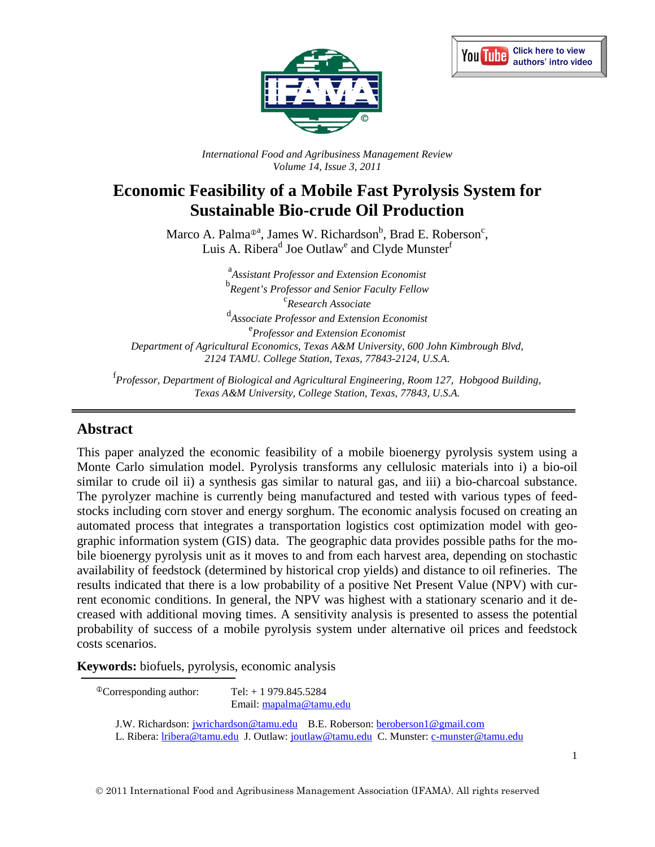



*International Food and Agribusiness Management Review Volume 14, Issue 3, 2011*

# **Economic Feasibility of a Mobile Fast Pyrolysis System for Sustainable Bio-crude Oil Production**

Marco A. Palma<sup>®a</sup>, James W. Richardson<sup>b</sup>, Brad E. Roberson<sup>c</sup>, Luis A. Ribera<sup>d</sup> Joe Outlaw<sup>e</sup> and Clyde Munster<sup>f</sup>

a *Assistant Professor and Extension Economist* <sup>b</sup> Regent's Professor and Senior Faculty Fellow *Research Associate* <sup>d</sup><br>Associate Professor and Extension Economist<sup>e</sup><br>Professor and Extension Economist *Professor and Extension Economist Department of Agricultural Economics, Texas A&M University, 600 John Kimbrough Blvd, 2124 TAMU. College Station, Texas, 77843-2124, U.S.A.*

f *Professor, Department of Biological and Agricultural Engineering, Room 127, Hobgood Building, Texas A&M University, College Station, Texas, 77843, U.S.A.*

#### **Abstract**

This paper analyzed the economic feasibility of a mobile bioenergy pyrolysis system using a Monte Carlo simulation model. Pyrolysis transforms any cellulosic materials into i) a bio-oil similar to crude oil ii) a synthesis gas similar to natural gas, and iii) a bio-charcoal substance. The pyrolyzer machine is currently being manufactured and tested with various types of feedstocks including corn stover and energy sorghum. The economic analysis focused on creating an automated process that integrates a transportation logistics cost optimization model with geographic information system (GIS) data. The geographic data provides possible paths for the mobile bioenergy pyrolysis unit as it moves to and from each harvest area, depending on stochastic availability of feedstock (determined by historical crop yields) and distance to oil refineries. The results indicated that there is a low probability of a positive Net Present Value (NPV) with current economic conditions. In general, the NPV was highest with a stationary scenario and it decreased with additional moving times. A sensitivity analysis is presented to assess the potential probability of success of a mobile pyrolysis system under alternative oil prices and feedstock costs scenarios.

**Keywords:** biofuels, pyrolysis, economic analysis

| <sup>®</sup> Corresponding author: | Tel: $+1979.845.5284$<br>Email: mapalma@tamu.edu |                                                                                                                                                                       |
|------------------------------------|--------------------------------------------------|-----------------------------------------------------------------------------------------------------------------------------------------------------------------------|
|                                    |                                                  | J.W. Richardson: jwrichardson@tamu.edu B.E. Roberson: beroberson1@gmail.com<br>L. Ribera: lribera@tamu.edu J. Outlaw: joutlaw@tamu.edu C. Munster: c-munster@tamu.edu |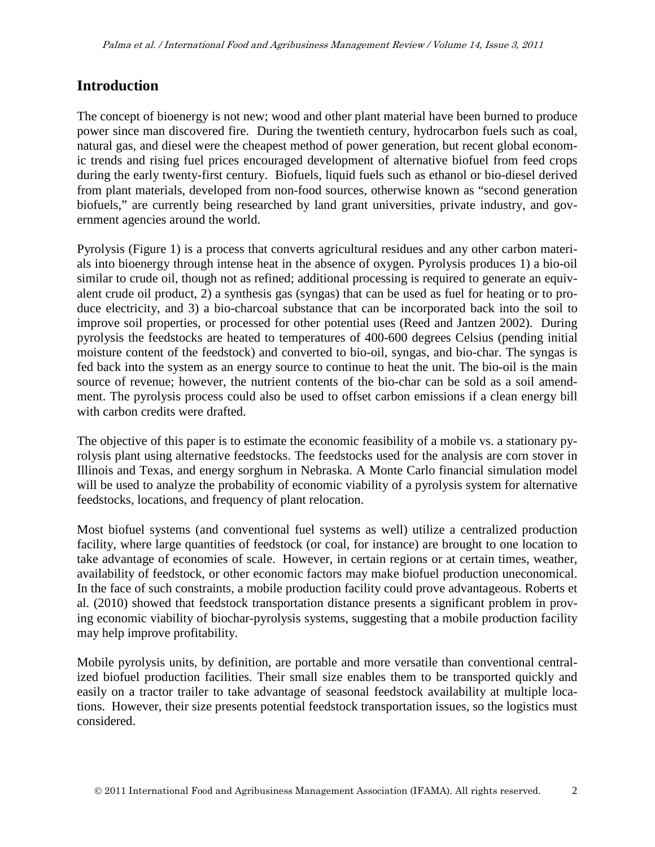### **Introduction**

The concept of bioenergy is not new; wood and other plant material have been burned to produce power since man discovered fire. During the twentieth century, hydrocarbon fuels such as coal, natural gas, and diesel were the cheapest method of power generation, but recent global economic trends and rising fuel prices encouraged development of alternative biofuel from feed crops during the early twenty-first century. Biofuels, liquid fuels such as ethanol or bio-diesel derived from plant materials, developed from non-food sources, otherwise known as "second generation biofuels," are currently being researched by land grant universities, private industry, and government agencies around the world.

Pyrolysis (Figure 1) is a process that converts agricultural residues and any other carbon materials into bioenergy through intense heat in the absence of oxygen. Pyrolysis produces 1) a bio-oil similar to crude oil, though not as refined; additional processing is required to generate an equivalent crude oil product, 2) a synthesis gas (syngas) that can be used as fuel for heating or to produce electricity, and 3) a bio-charcoal substance that can be incorporated back into the soil to improve soil properties, or processed for other potential uses (Reed and Jantzen 2002). During pyrolysis the feedstocks are heated to temperatures of 400-600 degrees Celsius (pending initial moisture content of the feedstock) and converted to bio-oil, syngas, and bio-char. The syngas is fed back into the system as an energy source to continue to heat the unit. The bio-oil is the main source of revenue; however, the nutrient contents of the bio-char can be sold as a soil amendment. The pyrolysis process could also be used to offset carbon emissions if a clean energy bill with carbon credits were drafted.

The objective of this paper is to estimate the economic feasibility of a mobile vs. a stationary pyrolysis plant using alternative feedstocks. The feedstocks used for the analysis are corn stover in Illinois and Texas, and energy sorghum in Nebraska. A Monte Carlo financial simulation model will be used to analyze the probability of economic viability of a pyrolysis system for alternative feedstocks, locations, and frequency of plant relocation.

Most biofuel systems (and conventional fuel systems as well) utilize a centralized production facility, where large quantities of feedstock (or coal, for instance) are brought to one location to take advantage of economies of scale. However, in certain regions or at certain times, weather, availability of feedstock, or other economic factors may make biofuel production uneconomical. In the face of such constraints, a mobile production facility could prove advantageous. Roberts et al. (2010) showed that feedstock transportation distance presents a significant problem in proving economic viability of biochar-pyrolysis systems, suggesting that a mobile production facility may help improve profitability.

Mobile pyrolysis units, by definition, are portable and more versatile than conventional centralized biofuel production facilities. Their small size enables them to be transported quickly and easily on a tractor trailer to take advantage of seasonal feedstock availability at multiple locations. However, their size presents potential feedstock transportation issues, so the logistics must considered.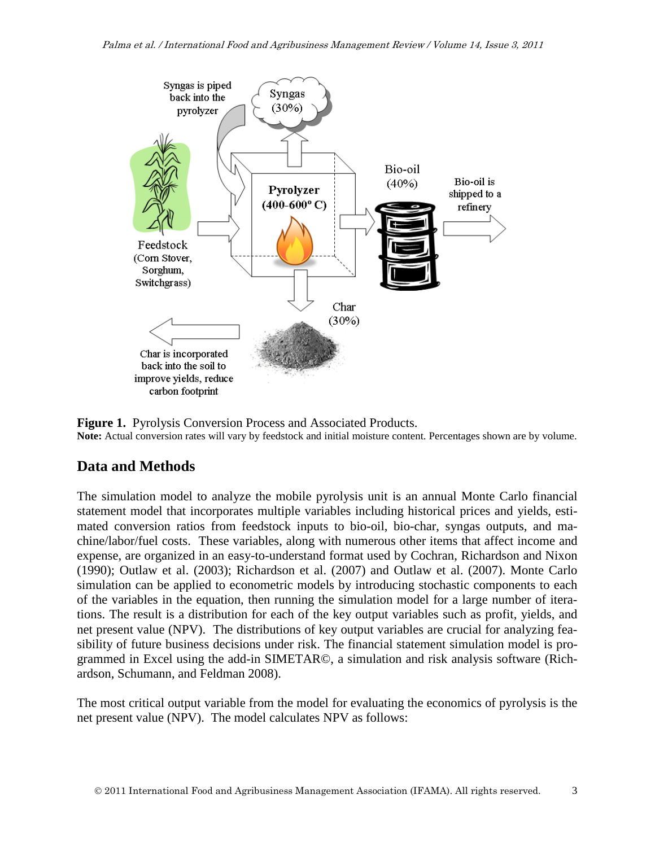

**Figure 1.** Pyrolysis Conversion Process and Associated Products. **Note:** Actual conversion rates will vary by feedstock and initial moisture content. Percentages shown are by volume.

# **Data and Methods**

The simulation model to analyze the mobile pyrolysis unit is an annual Monte Carlo financial statement model that incorporates multiple variables including historical prices and yields, estimated conversion ratios from feedstock inputs to bio-oil, bio-char, syngas outputs, and machine/labor/fuel costs. These variables, along with numerous other items that affect income and expense, are organized in an easy-to-understand format used by Cochran, Richardson and Nixon (1990); Outlaw et al. (2003); Richardson et al. (2007) and Outlaw et al. (2007). Monte Carlo simulation can be applied to econometric models by introducing stochastic components to each of the variables in the equation, then running the simulation model for a large number of iterations. The result is a distribution for each of the key output variables such as profit, yields, and net present value (NPV). The distributions of key output variables are crucial for analyzing feasibility of future business decisions under risk. The financial statement simulation model is programmed in Excel using the add-in SIMETAR©, a simulation and risk analysis software (Richardson, Schumann, and Feldman 2008).

The most critical output variable from the model for evaluating the economics of pyrolysis is the net present value (NPV). The model calculates NPV as follows: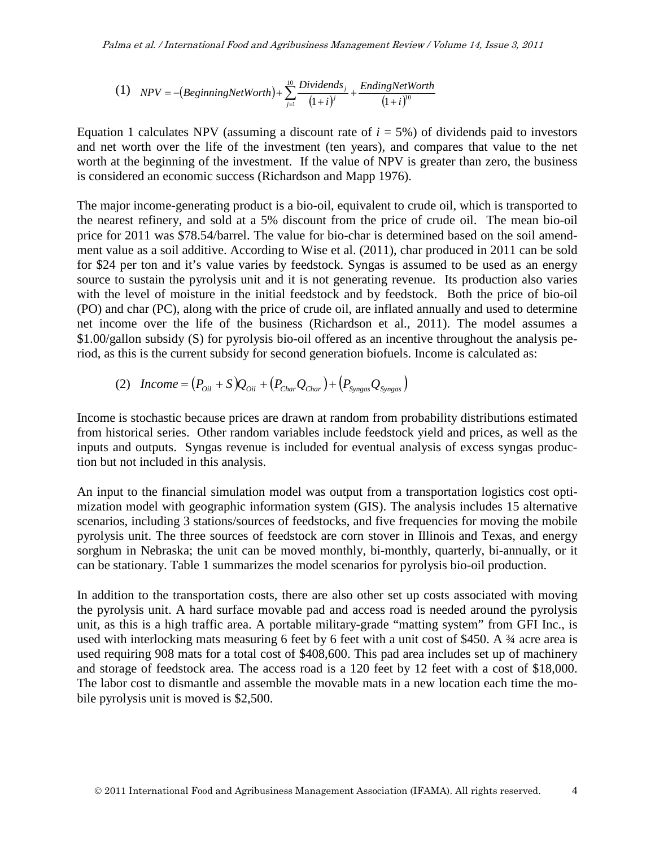(1) 
$$
NPV = -(BeginningNetWorth) + \sum_{j=1}^{10} \frac{Dividends_j}{(1+i)^j} + \frac{EndingNetWorth}{(1+i)^{10}}
$$

Equation 1 calculates NPV (assuming a discount rate of  $i = 5\%$ ) of dividends paid to investors and net worth over the life of the investment (ten years), and compares that value to the net worth at the beginning of the investment. If the value of NPV is greater than zero, the business is considered an economic success (Richardson and Mapp 1976).

The major income-generating product is a bio-oil, equivalent to crude oil, which is transported to the nearest refinery, and sold at a 5% discount from the price of crude oil. The mean bio-oil price for 2011 was \$78.54/barrel. The value for bio-char is determined based on the soil amendment value as a soil additive. According to Wise et al. (2011), char produced in 2011 can be sold for \$24 per ton and it's value varies by feedstock. Syngas is assumed to be used as an energy source to sustain the pyrolysis unit and it is not generating revenue. Its production also varies with the level of moisture in the initial feedstock and by feedstock. Both the price of bio-oil (PO) and char (PC), along with the price of crude oil, are inflated annually and used to determine net income over the life of the business (Richardson et al., 2011). The model assumes a \$1.00/gallon subsidy (S) for pyrolysis bio-oil offered as an incentive throughout the analysis period, as this is the current subsidy for second generation biofuels. Income is calculated as:

(2) 
$$
Income = (P_{0il} + S)Q_{0il} + (P_{Char}Q_{Char}) + (P_{Syngas}Q_{Syngas})
$$

Income is stochastic because prices are drawn at random from probability distributions estimated from historical series. Other random variables include feedstock yield and prices, as well as the inputs and outputs. Syngas revenue is included for eventual analysis of excess syngas production but not included in this analysis.

An input to the financial simulation model was output from a transportation logistics cost optimization model with geographic information system (GIS). The analysis includes 15 alternative scenarios, including 3 stations/sources of feedstocks, and five frequencies for moving the mobile pyrolysis unit. The three sources of feedstock are corn stover in Illinois and Texas, and energy sorghum in Nebraska; the unit can be moved monthly, bi-monthly, quarterly, bi-annually, or it can be stationary. Table 1 summarizes the model scenarios for pyrolysis bio-oil production.

In addition to the transportation costs, there are also other set up costs associated with moving the pyrolysis unit. A hard surface movable pad and access road is needed around the pyrolysis unit, as this is a high traffic area. A portable military-grade "matting system" from GFI Inc., is used with interlocking mats measuring 6 feet by 6 feet with a unit cost of \$450. A ¾ acre area is used requiring 908 mats for a total cost of \$408,600. This pad area includes set up of machinery and storage of feedstock area. The access road is a 120 feet by 12 feet with a cost of \$18,000. The labor cost to dismantle and assemble the movable mats in a new location each time the mobile pyrolysis unit is moved is \$2,500.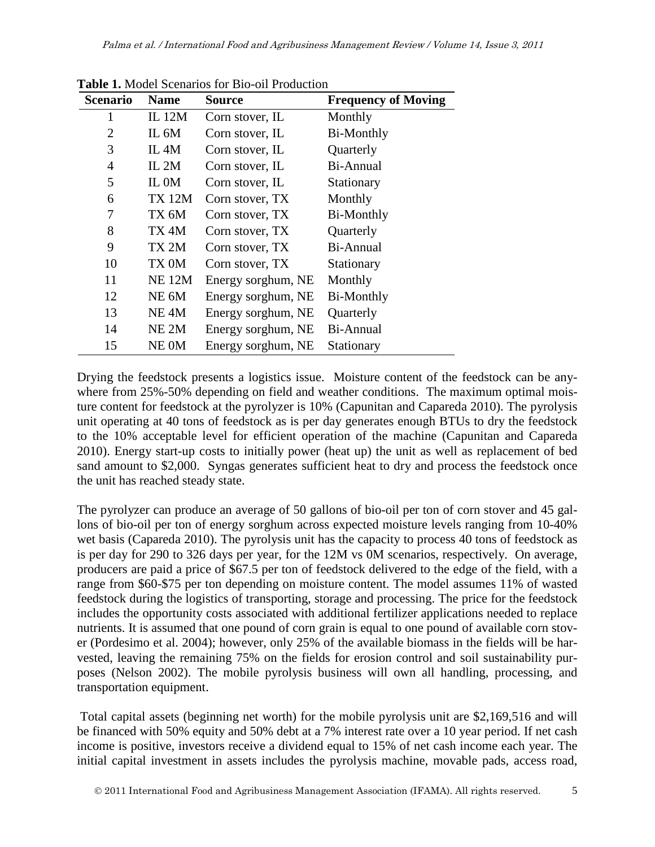| <b>Scenario</b> | <b>Name</b>      | Source             | <b>Frequency of Moving</b> |
|-----------------|------------------|--------------------|----------------------------|
| 1               | <b>IL</b> 12M    | Corn stover, IL    | Monthly                    |
| $\overline{2}$  | IL 6M            | Corn stover, IL    | <b>Bi-Monthly</b>          |
| 3               | IL 4M            | Corn stover, IL    | Quarterly                  |
| $\overline{4}$  | IL $2M$          | Corn stover, IL    | Bi-Annual                  |
| 5               | IL 0M            | Corn stover, IL    | Stationary                 |
| 6               | <b>TX 12M</b>    | Corn stover, TX    | Monthly                    |
| 7               | TX 6M            | Corn stover, TX    | <b>Bi-Monthly</b>          |
| 8               | TX 4M            | Corn stover, TX    | Quarterly                  |
| 9               | TX 2M            | Corn stover, TX    | Bi-Annual                  |
| 10              | TX 0M            | Corn stover, TX    | Stationary                 |
| 11              | <b>NE 12M</b>    | Energy sorghum, NE | Monthly                    |
| 12              | NE 6M            | Energy sorghum, NE | Bi-Monthly                 |
| 13              | NE <sub>4M</sub> | Energy sorghum, NE | Quarterly                  |
| 14              | NE <sub>2M</sub> | Energy sorghum, NE | Bi-Annual                  |
| 15              | NE 0M            | Energy sorghum, NE | Stationary                 |

**Table 1.** Model Scenarios for Bio-oil Production

Drying the feedstock presents a logistics issue. Moisture content of the feedstock can be anywhere from 25%-50% depending on field and weather conditions. The maximum optimal moisture content for feedstock at the pyrolyzer is 10% (Capunitan and Capareda 2010). The pyrolysis unit operating at 40 tons of feedstock as is per day generates enough BTUs to dry the feedstock to the 10% acceptable level for efficient operation of the machine (Capunitan and Capareda 2010). Energy start-up costs to initially power (heat up) the unit as well as replacement of bed sand amount to \$2,000. Syngas generates sufficient heat to dry and process the feedstock once the unit has reached steady state.

The pyrolyzer can produce an average of 50 gallons of bio-oil per ton of corn stover and 45 gallons of bio-oil per ton of energy sorghum across expected moisture levels ranging from 10-40% wet basis (Capareda 2010). The pyrolysis unit has the capacity to process 40 tons of feedstock as is per day for 290 to 326 days per year, for the 12M vs 0M scenarios, respectively. On average, producers are paid a price of \$67.5 per ton of feedstock delivered to the edge of the field, with a range from \$60-\$75 per ton depending on moisture content. The model assumes 11% of wasted feedstock during the logistics of transporting, storage and processing. The price for the feedstock includes the opportunity costs associated with additional fertilizer applications needed to replace nutrients. It is assumed that one pound of corn grain is equal to one pound of available corn stover (Pordesimo et al. 2004); however, only 25% of the available biomass in the fields will be harvested, leaving the remaining 75% on the fields for erosion control and soil sustainability purposes (Nelson 2002). The mobile pyrolysis business will own all handling, processing, and transportation equipment.

Total capital assets (beginning net worth) for the mobile pyrolysis unit are \$2,169,516 and will be financed with 50% equity and 50% debt at a 7% interest rate over a 10 year period. If net cash income is positive, investors receive a dividend equal to 15% of net cash income each year. The initial capital investment in assets includes the pyrolysis machine, movable pads, access road,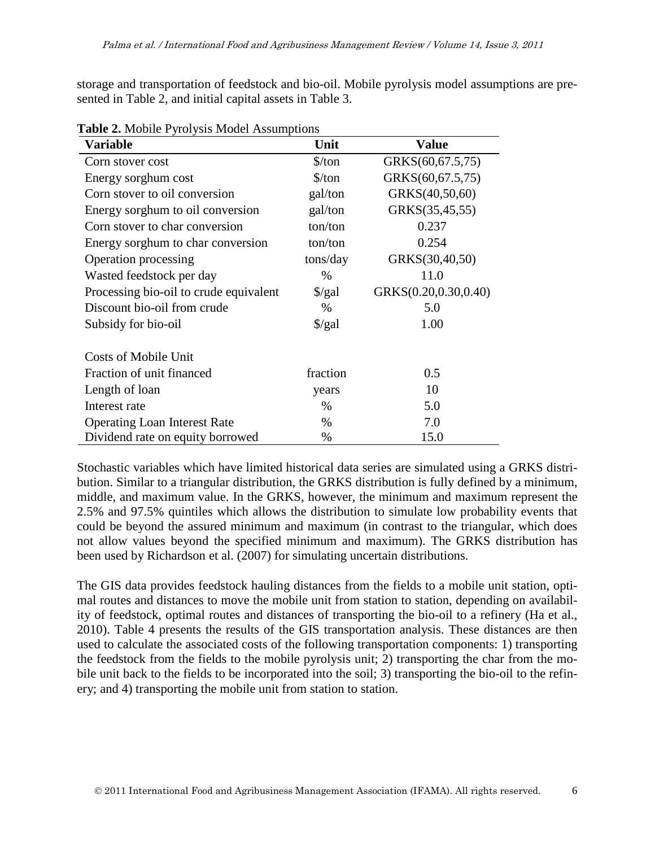storage and transportation of feedstock and bio-oil. Mobile pyrolysis model assumptions are presented in Table 2, and initial capital assets in Table 3.

| $\frac{1}{2}$ . The context of $\frac{1}{2}$ is the contribution of $\frac{1}{2}$<br>Variable | Unit                 | <b>Value</b>         |
|-----------------------------------------------------------------------------------------------|----------------------|----------------------|
| Corn stover cost                                                                              | $\frac{\sqrt{2}}{2}$ | GRKS(60,67.5,75)     |
| Energy sorghum cost                                                                           | $\frac{\sqrt{2}}{2}$ | GRKS(60,67.5,75)     |
| Corn stover to oil conversion                                                                 | gal/ton              | GRKS(40,50,60)       |
| Energy sorghum to oil conversion                                                              | gal/ton              | GRKS(35,45,55)       |
| Corn stover to char conversion                                                                | ton/ton              | 0.237                |
| Energy sorghum to char conversion                                                             | ton/ton              | 0.254                |
| <b>Operation processing</b>                                                                   | tons/day             | GRKS(30,40,50)       |
| Wasted feedstock per day                                                                      | $\%$                 | 11.0                 |
| Processing bio-oil to crude equivalent                                                        | $\frac{\sqrt{2}}{2}$ | GRKS(0.20,0.30,0.40) |
| Discount bio-oil from crude                                                                   | $\%$                 | 5.0                  |
| Subsidy for bio-oil                                                                           | $\frac{\sqrt{2}}{2}$ | 1.00                 |
| <b>Costs of Mobile Unit</b>                                                                   |                      |                      |
| Fraction of unit financed                                                                     | fraction             | 0.5                  |
| Length of loan                                                                                | years                | 10                   |
| Interest rate                                                                                 | $\%$                 | 5.0                  |
| <b>Operating Loan Interest Rate</b>                                                           | $\%$                 | 7.0                  |
| Dividend rate on equity borrowed                                                              | %                    | 15.0                 |

**Table 2.** Mobile Pyrolysis Model Assumptions

Stochastic variables which have limited historical data series are simulated using a GRKS distribution. Similar to a triangular distribution, the GRKS distribution is fully defined by a minimum, middle, and maximum value. In the GRKS, however, the minimum and maximum represent the 2.5% and 97.5% quintiles which allows the distribution to simulate low probability events that could be beyond the assured minimum and maximum (in contrast to the triangular, which does not allow values beyond the specified minimum and maximum). The GRKS distribution has been used by Richardson et al. (2007) for simulating uncertain distributions.

The GIS data provides feedstock hauling distances from the fields to a mobile unit station, optimal routes and distances to move the mobile unit from station to station, depending on availability of feedstock, optimal routes and distances of transporting the bio-oil to a refinery (Ha et al., 2010). Table 4 presents the results of the GIS transportation analysis. These distances are then used to calculate the associated costs of the following transportation components: 1) transporting the feedstock from the fields to the mobile pyrolysis unit; 2) transporting the char from the mobile unit back to the fields to be incorporated into the soil; 3) transporting the bio-oil to the refinery; and 4) transporting the mobile unit from station to station.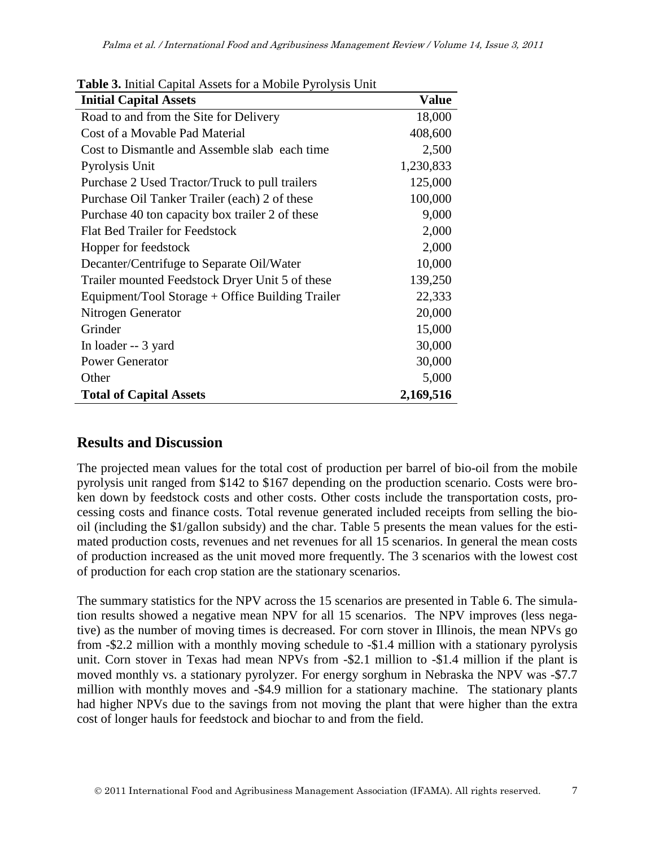| <b>Initial Capital Assets</b>                    | <b>Value</b> |
|--------------------------------------------------|--------------|
| Road to and from the Site for Delivery           | 18,000       |
| Cost of a Movable Pad Material                   | 408,600      |
| Cost to Dismantle and Assemble slab each time    | 2,500        |
| Pyrolysis Unit                                   | 1,230,833    |
| Purchase 2 Used Tractor/Truck to pull trailers   | 125,000      |
| Purchase Oil Tanker Trailer (each) 2 of these    | 100,000      |
| Purchase 40 ton capacity box trailer 2 of these  | 9,000        |
| <b>Flat Bed Trailer for Feedstock</b>            | 2,000        |
| Hopper for feedstock                             | 2,000        |
| Decanter/Centrifuge to Separate Oil/Water        | 10,000       |
| Trailer mounted Feedstock Dryer Unit 5 of these  | 139,250      |
| Equipment/Tool Storage + Office Building Trailer | 22,333       |
| Nitrogen Generator                               | 20,000       |
| Grinder                                          | 15,000       |
| In loader -- 3 yard                              | 30,000       |
| <b>Power Generator</b>                           | 30,000       |
| Other                                            | 5,000        |
| <b>Total of Capital Assets</b>                   | 2,169,516    |

**Table 3.** Initial Capital Assets for a Mobile Pyrolysis Unit

# **Results and Discussion**

The projected mean values for the total cost of production per barrel of bio-oil from the mobile pyrolysis unit ranged from \$142 to \$167 depending on the production scenario. Costs were broken down by feedstock costs and other costs. Other costs include the transportation costs, processing costs and finance costs. Total revenue generated included receipts from selling the biooil (including the \$1/gallon subsidy) and the char. Table 5 presents the mean values for the estimated production costs, revenues and net revenues for all 15 scenarios. In general the mean costs of production increased as the unit moved more frequently. The 3 scenarios with the lowest cost of production for each crop station are the stationary scenarios.

The summary statistics for the NPV across the 15 scenarios are presented in Table 6. The simulation results showed a negative mean NPV for all 15 scenarios. The NPV improves (less negative) as the number of moving times is decreased. For corn stover in Illinois, the mean NPVs go from -\$2.2 million with a monthly moving schedule to -\$1.4 million with a stationary pyrolysis unit. Corn stover in Texas had mean NPVs from -\$2.1 million to -\$1.4 million if the plant is moved monthly vs. a stationary pyrolyzer. For energy sorghum in Nebraska the NPV was -\$7.7 million with monthly moves and -\$4.9 million for a stationary machine. The stationary plants had higher NPVs due to the savings from not moving the plant that were higher than the extra cost of longer hauls for feedstock and biochar to and from the field.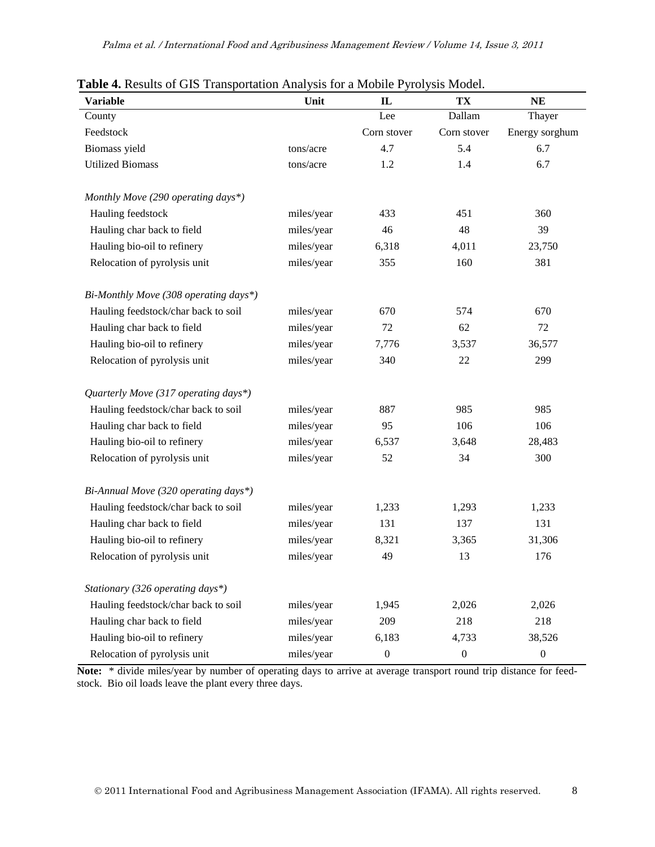| <b>Variable</b>                       | Unit       | $\mathbf{I}$     | TX               | NE               |
|---------------------------------------|------------|------------------|------------------|------------------|
| County                                |            | Lee              | Dallam           | Thayer           |
| Feedstock                             |            | Corn stover      | Corn stover      | Energy sorghum   |
| Biomass yield                         | tons/acre  | 4.7              | 5.4              | 6.7              |
| <b>Utilized Biomass</b>               | tons/acre  | 1.2              | 1.4              | 6.7              |
| Monthly Move (290 operating days*)    |            |                  |                  |                  |
| Hauling feedstock                     | miles/year | 433              | 451              | 360              |
| Hauling char back to field            | miles/year | 46               | 48               | 39               |
| Hauling bio-oil to refinery           | miles/year | 6,318            | 4,011            | 23,750           |
| Relocation of pyrolysis unit          | miles/year | 355              | 160              | 381              |
| Bi-Monthly Move (308 operating days*) |            |                  |                  |                  |
| Hauling feedstock/char back to soil   | miles/year | 670              | 574              | 670              |
| Hauling char back to field            | miles/year | 72               | 62               | 72               |
| Hauling bio-oil to refinery           | miles/year | 7,776            | 3,537            | 36,577           |
| Relocation of pyrolysis unit          | miles/year | 340              | 22               | 299              |
| Quarterly Move (317 operating days*)  |            |                  |                  |                  |
| Hauling feedstock/char back to soil   | miles/year | 887              | 985              | 985              |
| Hauling char back to field            | miles/year | 95               | 106              | 106              |
| Hauling bio-oil to refinery           | miles/year | 6,537            | 3,648            | 28,483           |
| Relocation of pyrolysis unit          | miles/year | 52               | 34               | 300              |
| Bi-Annual Move (320 operating days*)  |            |                  |                  |                  |
| Hauling feedstock/char back to soil   | miles/year | 1,233            | 1,293            | 1,233            |
| Hauling char back to field            | miles/year | 131              | 137              | 131              |
| Hauling bio-oil to refinery           | miles/year | 8,321            | 3,365            | 31,306           |
| Relocation of pyrolysis unit          | miles/year | 49               | 13               | 176              |
| Stationary (326 operating days*)      |            |                  |                  |                  |
| Hauling feedstock/char back to soil   | miles/year | 1,945            | 2,026            | 2,026            |
| Hauling char back to field            | miles/year | 209              | 218              | 218              |
| Hauling bio-oil to refinery           | miles/year | 6,183            | 4,733            | 38,526           |
| Relocation of pyrolysis unit          | miles/year | $\boldsymbol{0}$ | $\boldsymbol{0}$ | $\boldsymbol{0}$ |

| Table 4. Results of GIS Transportation Analysis for a Mobile Pyrolysis Model. |  |
|-------------------------------------------------------------------------------|--|
|-------------------------------------------------------------------------------|--|

**Note:** \* divide miles/year by number of operating days to arrive at average transport round trip distance for feedstock. Bio oil loads leave the plant every three days.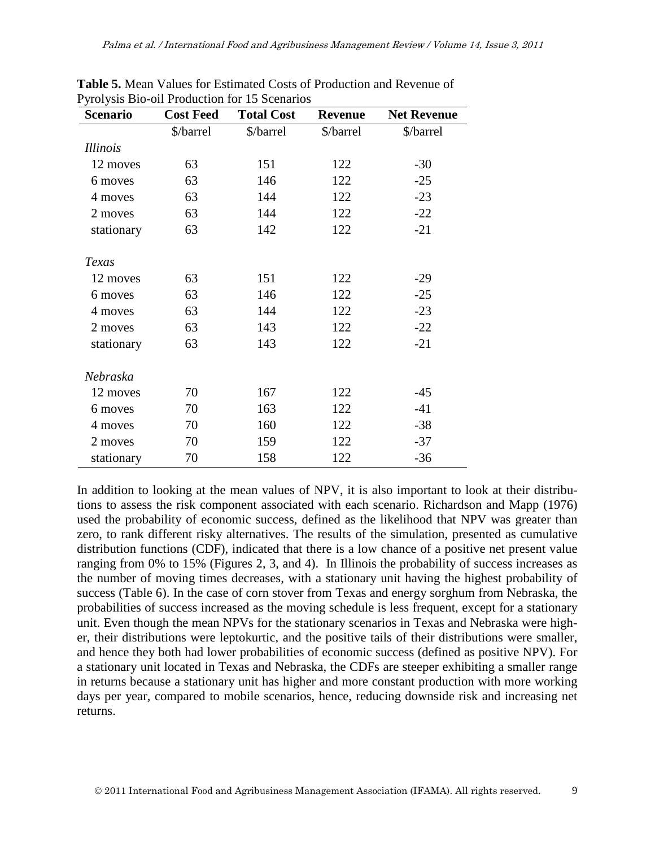| <b>Scenario</b> | <b>Cost Feed</b> | <b>Total Cost</b> | <b>Revenue</b> | <b>Net Revenue</b> |
|-----------------|------------------|-------------------|----------------|--------------------|
|                 | \$/barrel        | \$/barrel         | \$/barrel      | \$/barrel          |
| <i>Illinois</i> |                  |                   |                |                    |
| 12 moves        | 63               | 151               | 122            | $-30$              |
| 6 moves         | 63               | 146               | 122            | $-25$              |
| 4 moves         | 63               | 144               | 122            | $-23$              |
| 2 moves         | 63               | 144               | 122            | $-22$              |
| stationary      | 63               | 142               | 122            | $-21$              |
| Texas           |                  |                   |                |                    |
| 12 moves        | 63               | 151               | 122            | $-29$              |
| 6 moves         | 63               | 146               | 122            | $-25$              |
| 4 moves         | 63               | 144               | 122            | $-23$              |
| 2 moves         | 63               | 143               | 122            | $-22$              |
| stationary      | 63               | 143               | 122            | $-21$              |
| Nebraska        |                  |                   |                |                    |
| 12 moves        | 70               | 167               | 122            | $-45$              |
| 6 moves         | 70               | 163               | 122            | $-41$              |
| 4 moves         | 70               | 160               | 122            | $-38$              |
| 2 moves         | 70               | 159               | 122            | $-37$              |
| stationary      | 70               | 158               | 122            | $-36$              |

**Table 5.** Mean Values for Estimated Costs of Production and Revenue of Pyrolysis Bio-oil Production for 15 Scenarios

In addition to looking at the mean values of NPV, it is also important to look at their distributions to assess the risk component associated with each scenario. Richardson and Mapp (1976) used the probability of economic success, defined as the likelihood that NPV was greater than zero, to rank different risky alternatives. The results of the simulation, presented as cumulative distribution functions (CDF), indicated that there is a low chance of a positive net present value ranging from 0% to 15% (Figures 2, 3, and 4). In Illinois the probability of success increases as the number of moving times decreases, with a stationary unit having the highest probability of success (Table 6). In the case of corn stover from Texas and energy sorghum from Nebraska, the probabilities of success increased as the moving schedule is less frequent, except for a stationary unit. Even though the mean NPVs for the stationary scenarios in Texas and Nebraska were higher, their distributions were leptokurtic, and the positive tails of their distributions were smaller, and hence they both had lower probabilities of economic success (defined as positive NPV). For a stationary unit located in Texas and Nebraska, the CDFs are steeper exhibiting a smaller range in returns because a stationary unit has higher and more constant production with more working days per year, compared to mobile scenarios, hence, reducing downside risk and increasing net returns.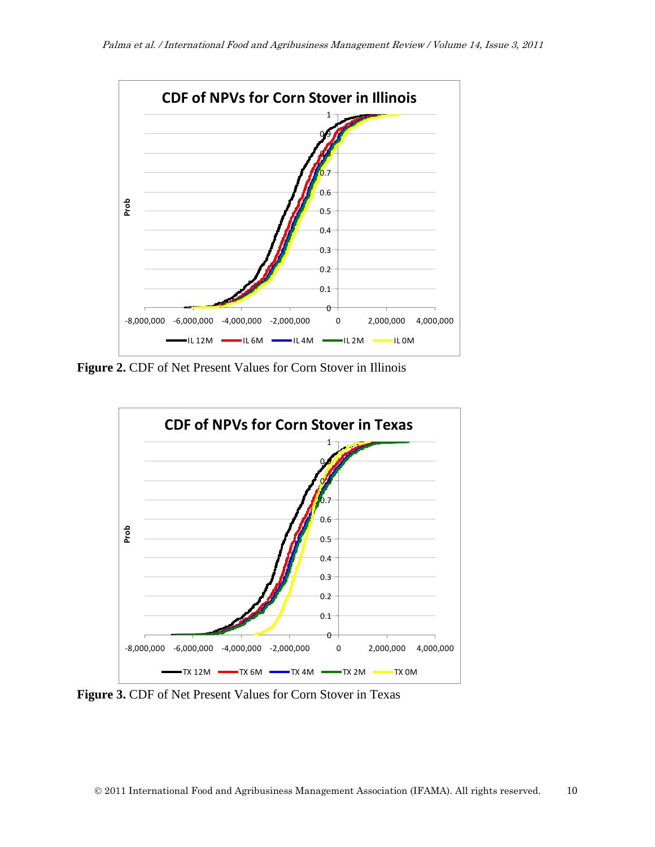

**Figure 2.** CDF of Net Present Values for Corn Stover in Illinois



**Figure 3.** CDF of Net Present Values for Corn Stover in Texas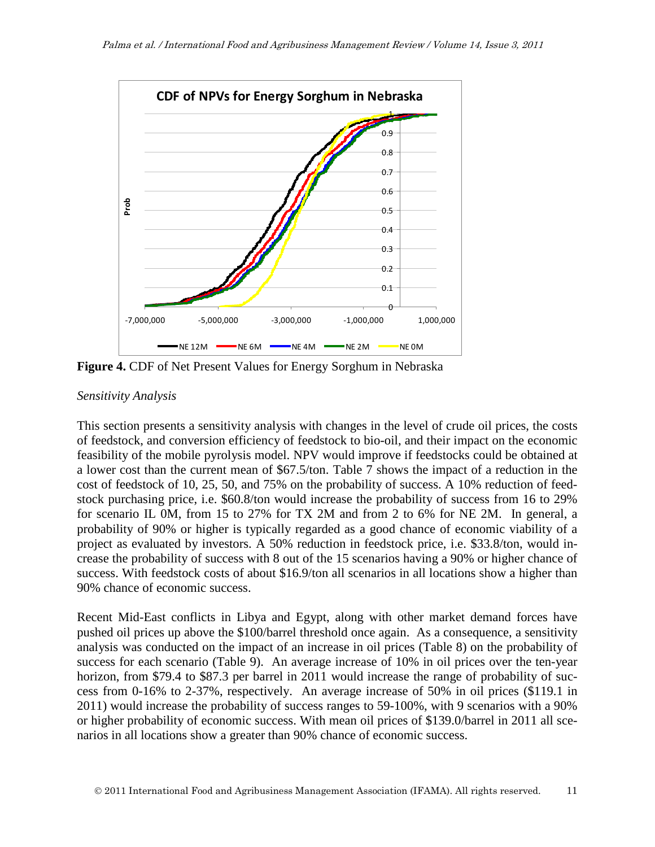

**Figure 4.** CDF of Net Present Values for Energy Sorghum in Nebraska

#### *Sensitivity Analysis*

This section presents a sensitivity analysis with changes in the level of crude oil prices, the costs of feedstock, and conversion efficiency of feedstock to bio-oil, and their impact on the economic feasibility of the mobile pyrolysis model. NPV would improve if feedstocks could be obtained at a lower cost than the current mean of \$67.5/ton. Table 7 shows the impact of a reduction in the cost of feedstock of 10, 25, 50, and 75% on the probability of success. A 10% reduction of feedstock purchasing price, i.e. \$60.8/ton would increase the probability of success from 16 to 29% for scenario IL 0M, from 15 to 27% for TX 2M and from 2 to 6% for NE 2M. In general, a probability of 90% or higher is typically regarded as a good chance of economic viability of a project as evaluated by investors. A 50% reduction in feedstock price, i.e. \$33.8/ton, would increase the probability of success with 8 out of the 15 scenarios having a 90% or higher chance of success. With feedstock costs of about \$16.9/ton all scenarios in all locations show a higher than 90% chance of economic success.

Recent Mid-East conflicts in Libya and Egypt, along with other market demand forces have pushed oil prices up above the \$100/barrel threshold once again. As a consequence, a sensitivity analysis was conducted on the impact of an increase in oil prices (Table 8) on the probability of success for each scenario (Table 9). An average increase of 10% in oil prices over the ten-year horizon, from \$79.4 to \$87.3 per barrel in 2011 would increase the range of probability of success from 0-16% to 2-37%, respectively. An average increase of 50% in oil prices (\$119.1 in 2011) would increase the probability of success ranges to 59-100%, with 9 scenarios with a 90% or higher probability of economic success. With mean oil prices of \$139.0/barrel in 2011 all scenarios in all locations show a greater than 90% chance of economic success.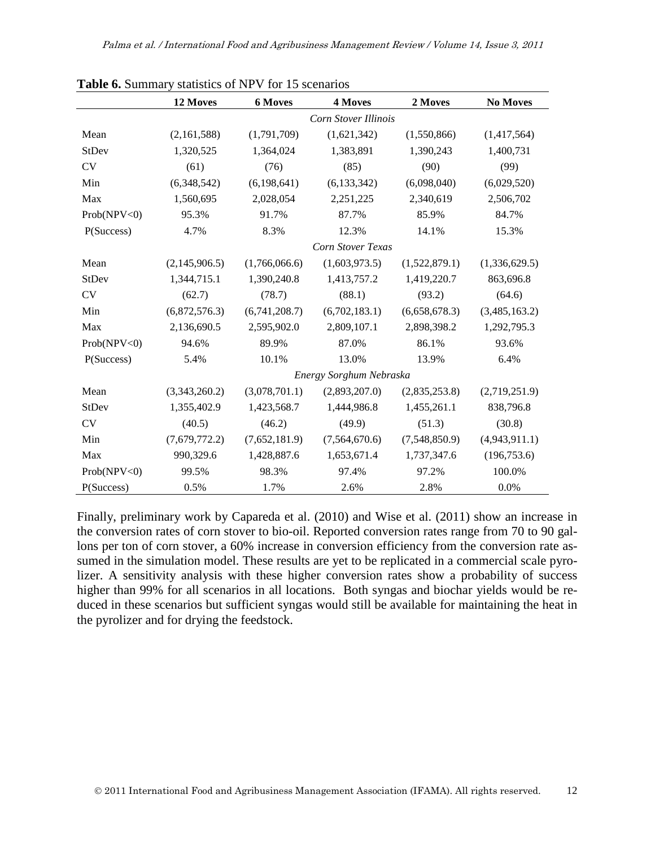|              | 12 Moves      | <b>6 Moves</b> | 4 Moves                     | 2 Moves       | <b>No Moves</b> |
|--------------|---------------|----------------|-----------------------------|---------------|-----------------|
|              |               |                | <b>Corn Stover Illinois</b> |               |                 |
| Mean         | (2,161,588)   | (1,791,709)    | (1,621,342)                 | (1,550,866)   | (1,417,564)     |
| StDev        | 1,320,525     | 1,364,024      | 1,383,891                   | 1,390,243     | 1,400,731       |
| <b>CV</b>    | (61)          | (76)           | (85)                        | (90)          | (99)            |
| Min          | (6,348,542)   | (6, 198, 641)  | (6, 133, 342)               | (6,098,040)   | (6,029,520)     |
| Max          | 1,560,695     | 2,028,054      | 2,251,225                   | 2,340,619     | 2,506,702       |
| Prob(NPV<0)  | 95.3%         | 91.7%          | 87.7%                       | 85.9%         | 84.7%           |
| P(Success)   | 4.7%          | 8.3%           | 12.3%                       | 14.1%         | 15.3%           |
|              |               |                | Corn Stover Texas           |               |                 |
| Mean         | (2,145,906.5) | (1,766,066.6)  | (1,603,973.5)               | (1,522,879.1) | (1,336,629.5)   |
| <b>StDev</b> | 1,344,715.1   | 1,390,240.8    | 1,413,757.2                 | 1,419,220.7   | 863,696.8       |
| CV           | (62.7)        | (78.7)         | (88.1)                      | (93.2)        | (64.6)          |
| Min          | (6,872,576.3) | (6,741,208.7)  | (6,702,183.1)               | (6,658,678.3) | (3,485,163.2)   |
| Max          | 2,136,690.5   | 2,595,902.0    | 2,809,107.1                 | 2,898,398.2   | 1,292,795.3     |
| Prob(NPV<0)  | 94.6%         | 89.9%          | 87.0%                       | 86.1%         | 93.6%           |
| P(Success)   | 5.4%          | 10.1%          | 13.0%                       | 13.9%         | 6.4%            |
|              |               |                | Energy Sorghum Nebraska     |               |                 |
| Mean         | (3,343,260.2) | (3,078,701.1)  | (2,893,207.0)               | (2,835,253.8) | (2,719,251.9)   |
| StDev        | 1,355,402.9   | 1,423,568.7    | 1,444,986.8                 | 1,455,261.1   | 838,796.8       |
| CV           | (40.5)        | (46.2)         | (49.9)                      | (51.3)        | (30.8)          |
| Min          | (7,679,772.2) | (7,652,181.9)  | (7,564,670.6)               | (7,548,850.9) | (4,943,911.1)   |
| Max          | 990,329.6     | 1,428,887.6    | 1,653,671.4                 | 1,737,347.6   | (196, 753.6)    |
| Prob(NPV<0)  | 99.5%         | 98.3%          | 97.4%                       | 97.2%         | 100.0%          |
| P(Success)   | 0.5%          | 1.7%           | 2.6%                        | 2.8%          | 0.0%            |

**Table 6.** Summary statistics of NPV for 15 scenarios

Finally, preliminary work by Capareda et al. (2010) and Wise et al. (2011) show an increase in the conversion rates of corn stover to bio-oil. Reported conversion rates range from 70 to 90 gallons per ton of corn stover, a 60% increase in conversion efficiency from the conversion rate assumed in the simulation model. These results are yet to be replicated in a commercial scale pyrolizer. A sensitivity analysis with these higher conversion rates show a probability of success higher than 99% for all scenarios in all locations. Both syngas and biochar yields would be reduced in these scenarios but sufficient syngas would still be available for maintaining the heat in the pyrolizer and for drying the feedstock.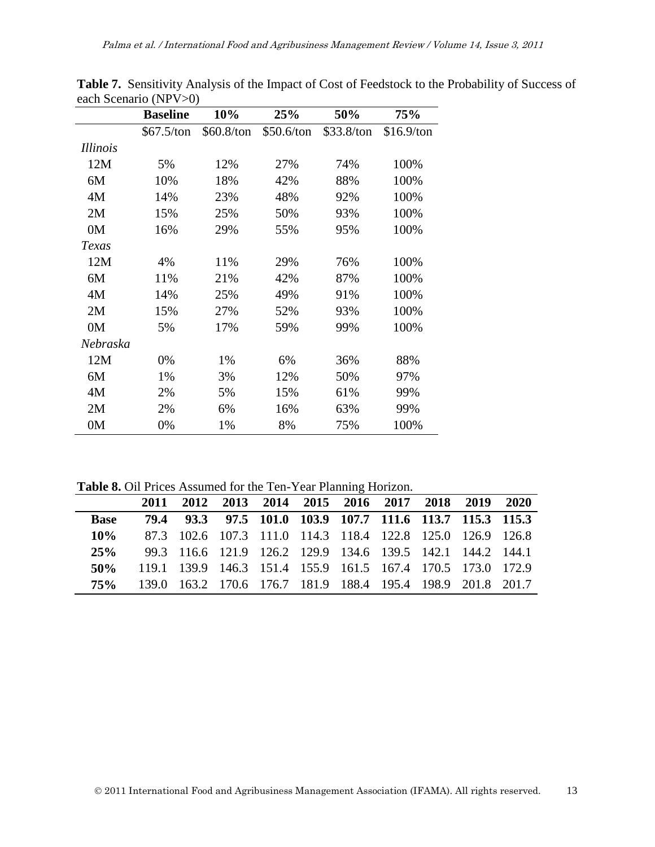|                 | <b>Baseline</b> | 10%        | 25%        | 50%        | 75%        |
|-----------------|-----------------|------------|------------|------------|------------|
|                 | \$67.5/ton      | \$60.8/ton | \$50.6/ton | \$33.8/ton | \$16.9/ton |
| <i>Illinois</i> |                 |            |            |            |            |
| 12M             | 5%              | 12%        | 27%        | 74%        | 100%       |
| 6M              | 10%             | 18%        | 42%        | 88%        | 100%       |
| 4M              | 14%             | 23%        | 48%        | 92%        | 100%       |
| 2M              | 15%             | 25%        | 50%        | 93%        | 100%       |
| 0 <sub>M</sub>  | 16%             | 29%        | 55%        | 95%        | 100%       |
| Texas           |                 |            |            |            |            |
| 12M             | 4%              | 11%        | 29%        | 76%        | 100%       |
| 6M              | 11%             | 21%        | 42%        | 87%        | 100%       |
| 4M              | 14%             | 25%        | 49%        | 91%        | 100%       |
| 2M              | 15%             | 27%        | 52%        | 93%        | 100%       |
| 0M              | 5%              | 17%        | 59%        | 99%        | 100%       |
| Nebraska        |                 |            |            |            |            |
| 12M             | 0%              | 1%         | 6%         | 36%        | 88%        |
| 6M              | 1%              | 3%         | 12%        | 50%        | 97%        |
| 4M              | 2%              | 5%         | 15%        | 61%        | 99%        |
| 2M              | 2%              | 6%         | 16%        | 63%        | 99%        |
| 0 <sub>M</sub>  | 0%              | 1%         | 8%         | 75%        | 100%       |

**Table 7.** Sensitivity Analysis of the Impact of Cost of Feedstock to the Probability of Success of each Scenario (NPV>0)

**Table 8.** Oil Prices Assumed for the Ten-Year Planning Horizon.

|             |  | 2011 2012 2013 2014 2015 2016 2017 2018 2019 2020           |  |  |  |
|-------------|--|-------------------------------------------------------------|--|--|--|
| <b>Base</b> |  | 79.4 93.3 97.5 101.0 103.9 107.7 111.6 113.7 115.3 115.3    |  |  |  |
| $10\%$      |  | 87.3 102.6 107.3 111.0 114.3 118.4 122.8 125.0 126.9 126.8  |  |  |  |
| 25%         |  | 99.3 116.6 121.9 126.2 129.9 134.6 139.5 142.1 144.2 144.1  |  |  |  |
| 50%         |  | 119.1 139.9 146.3 151.4 155.9 161.5 167.4 170.5 173.0 172.9 |  |  |  |
| 75%         |  | 139.0 163.2 170.6 176.7 181.9 188.4 195.4 198.9 201.8 201.7 |  |  |  |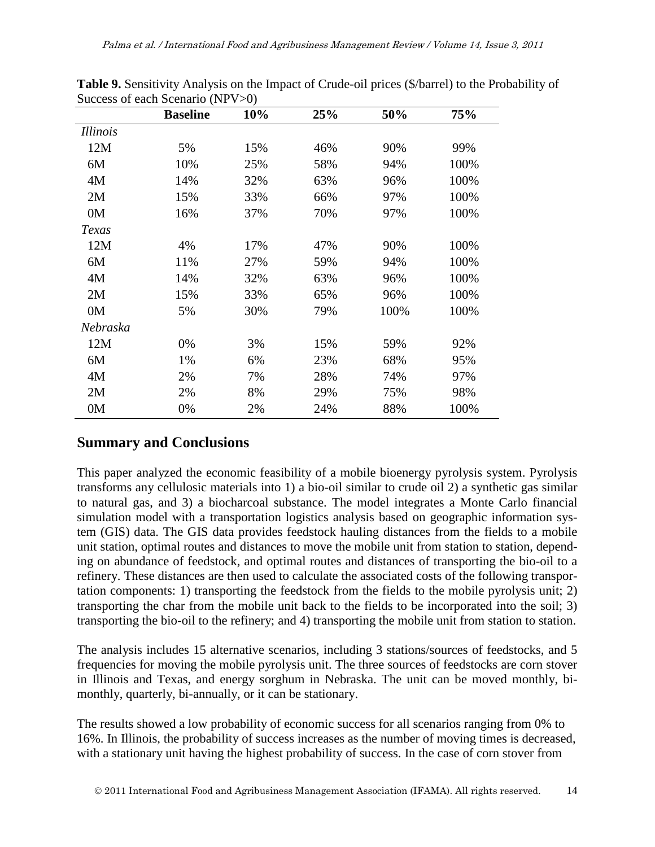| <i>Illinois</i><br>12M<br>5%<br>15%<br>46%<br>90%<br>10%<br>58%<br>6M<br>25%<br>94%<br>14%<br>32%<br>4M<br>63%<br>96%<br>2M<br>15%<br>33%<br>66%<br>97%<br>0 <sub>M</sub><br>16%<br>70%<br>37%<br>97%<br>Texas<br>12M<br>4%<br>17%<br>90%<br>47%<br>6M<br>11%<br>27%<br>94%<br>59%<br>4M<br>14%<br>32%<br>63%<br>96%<br>2M<br>15%<br>33%<br>65%<br>96%<br>0M<br>5%<br>30%<br>100%<br>79%<br>Nebraska<br>12M<br>15%<br>0%<br>3%<br>59%<br>1%<br>6%<br>23%<br>68%<br>6M<br>28%<br>4M<br>2%<br>7%<br>74%<br>2M<br>2%<br>8%<br>29%<br>75%<br>0M<br>0%<br>24%<br>88%<br>2% | <b>Baseline</b> | 10% | 25% | 50% | 75%  |
|-----------------------------------------------------------------------------------------------------------------------------------------------------------------------------------------------------------------------------------------------------------------------------------------------------------------------------------------------------------------------------------------------------------------------------------------------------------------------------------------------------------------------------------------------------------------------|-----------------|-----|-----|-----|------|
|                                                                                                                                                                                                                                                                                                                                                                                                                                                                                                                                                                       |                 |     |     |     |      |
|                                                                                                                                                                                                                                                                                                                                                                                                                                                                                                                                                                       |                 |     |     |     | 99%  |
|                                                                                                                                                                                                                                                                                                                                                                                                                                                                                                                                                                       |                 |     |     |     | 100% |
|                                                                                                                                                                                                                                                                                                                                                                                                                                                                                                                                                                       |                 |     |     |     | 100% |
|                                                                                                                                                                                                                                                                                                                                                                                                                                                                                                                                                                       |                 |     |     |     | 100% |
|                                                                                                                                                                                                                                                                                                                                                                                                                                                                                                                                                                       |                 |     |     |     | 100% |
|                                                                                                                                                                                                                                                                                                                                                                                                                                                                                                                                                                       |                 |     |     |     |      |
|                                                                                                                                                                                                                                                                                                                                                                                                                                                                                                                                                                       |                 |     |     |     | 100% |
|                                                                                                                                                                                                                                                                                                                                                                                                                                                                                                                                                                       |                 |     |     |     | 100% |
|                                                                                                                                                                                                                                                                                                                                                                                                                                                                                                                                                                       |                 |     |     |     | 100% |
|                                                                                                                                                                                                                                                                                                                                                                                                                                                                                                                                                                       |                 |     |     |     | 100% |
|                                                                                                                                                                                                                                                                                                                                                                                                                                                                                                                                                                       |                 |     |     |     | 100% |
|                                                                                                                                                                                                                                                                                                                                                                                                                                                                                                                                                                       |                 |     |     |     |      |
|                                                                                                                                                                                                                                                                                                                                                                                                                                                                                                                                                                       |                 |     |     |     | 92%  |
|                                                                                                                                                                                                                                                                                                                                                                                                                                                                                                                                                                       |                 |     |     |     | 95%  |
|                                                                                                                                                                                                                                                                                                                                                                                                                                                                                                                                                                       |                 |     |     |     | 97%  |
|                                                                                                                                                                                                                                                                                                                                                                                                                                                                                                                                                                       |                 |     |     |     | 98%  |
|                                                                                                                                                                                                                                                                                                                                                                                                                                                                                                                                                                       |                 |     |     |     | 100% |

**Table 9.** Sensitivity Analysis on the Impact of Crude-oil prices (\$/barrel) to the Probability of Success of each Scenario (NPV>0)

# **Summary and Conclusions**

This paper analyzed the economic feasibility of a mobile bioenergy pyrolysis system. Pyrolysis transforms any cellulosic materials into 1) a bio-oil similar to crude oil 2) a synthetic gas similar to natural gas, and 3) a biocharcoal substance. The model integrates a Monte Carlo financial simulation model with a transportation logistics analysis based on geographic information system (GIS) data. The GIS data provides feedstock hauling distances from the fields to a mobile unit station, optimal routes and distances to move the mobile unit from station to station, depending on abundance of feedstock, and optimal routes and distances of transporting the bio-oil to a refinery. These distances are then used to calculate the associated costs of the following transportation components: 1) transporting the feedstock from the fields to the mobile pyrolysis unit; 2) transporting the char from the mobile unit back to the fields to be incorporated into the soil; 3) transporting the bio-oil to the refinery; and 4) transporting the mobile unit from station to station.

The analysis includes 15 alternative scenarios, including 3 stations/sources of feedstocks, and 5 frequencies for moving the mobile pyrolysis unit. The three sources of feedstocks are corn stover in Illinois and Texas, and energy sorghum in Nebraska. The unit can be moved monthly, bimonthly, quarterly, bi-annually, or it can be stationary.

The results showed a low probability of economic success for all scenarios ranging from 0% to 16%. In Illinois, the probability of success increases as the number of moving times is decreased, with a stationary unit having the highest probability of success. In the case of corn stover from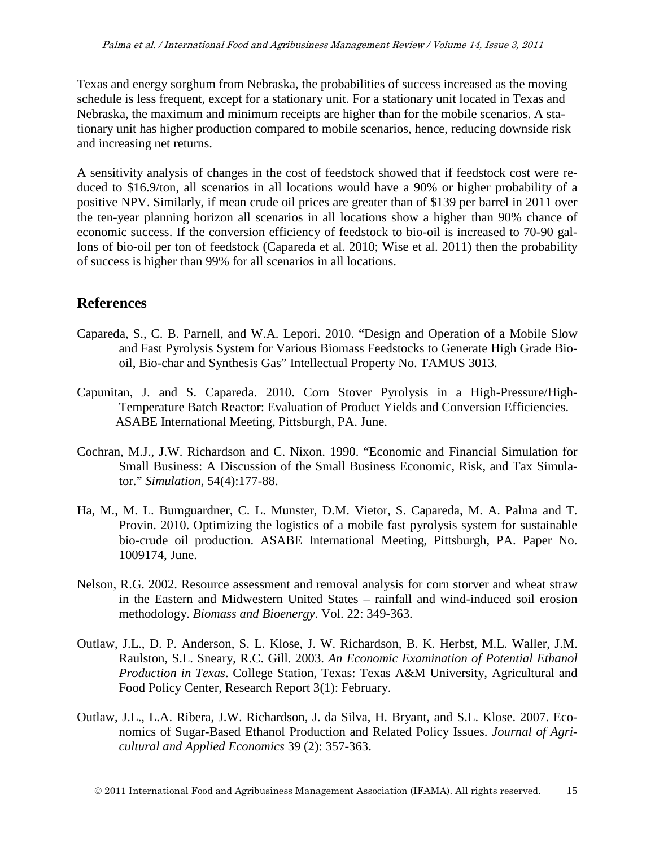Texas and energy sorghum from Nebraska, the probabilities of success increased as the moving schedule is less frequent, except for a stationary unit. For a stationary unit located in Texas and Nebraska, the maximum and minimum receipts are higher than for the mobile scenarios. A stationary unit has higher production compared to mobile scenarios, hence, reducing downside risk and increasing net returns.

A sensitivity analysis of changes in the cost of feedstock showed that if feedstock cost were reduced to \$16.9/ton, all scenarios in all locations would have a 90% or higher probability of a positive NPV. Similarly, if mean crude oil prices are greater than of \$139 per barrel in 2011 over the ten-year planning horizon all scenarios in all locations show a higher than 90% chance of economic success. If the conversion efficiency of feedstock to bio-oil is increased to 70-90 gallons of bio-oil per ton of feedstock (Capareda et al. 2010; Wise et al. 2011) then the probability of success is higher than 99% for all scenarios in all locations.

### **References**

- Capareda, S., C. B. Parnell, and W.A. Lepori. 2010. "Design and Operation of a Mobile Slow and Fast Pyrolysis System for Various Biomass Feedstocks to Generate High Grade Biooil, Bio-char and Synthesis Gas" Intellectual Property No. TAMUS 3013.
- Capunitan, J. and S. Capareda. 2010. Corn Stover Pyrolysis in a High-Pressure/High-Temperature Batch Reactor: Evaluation of Product Yields and Conversion Efficiencies. ASABE International Meeting, Pittsburgh, PA. June.
- Cochran, M.J., J.W. Richardson and C. Nixon. 1990. "Economic and Financial Simulation for Small Business: A Discussion of the Small Business Economic, Risk, and Tax Simulator." *Simulation*, 54(4):177-88.
- Ha, M., M. L. Bumguardner, C. L. Munster, D.M. Vietor, S. Capareda, M. A. Palma and T. Provin. 2010. Optimizing the logistics of a mobile fast pyrolysis system for sustainable bio-crude oil production. ASABE International Meeting, Pittsburgh, PA. Paper No. 1009174, June.
- Nelson, R.G. 2002. Resource assessment and removal analysis for corn storver and wheat straw in the Eastern and Midwestern United States – rainfall and wind-induced soil erosion methodology. *Biomass and Bioenergy*. Vol. 22: 349-363.
- Outlaw, J.L., D. P. Anderson, S. L. Klose, J. W. Richardson, B. K. Herbst, M.L. Waller, J.M. Raulston, S.L. Sneary, R.C. Gill. 2003. *An Economic Examination of Potential Ethanol Production in Texas*. College Station, Texas: Texas A&M University, Agricultural and Food Policy Center, Research Report 3(1): February.
- Outlaw, J.L., L.A. Ribera, J.W. Richardson, J. da Silva, H. Bryant, and S.L. Klose. 2007. Economics of Sugar-Based Ethanol Production and Related Policy Issues. *Journal of Agricultural and Applied Economics* 39 (2): 357-363.